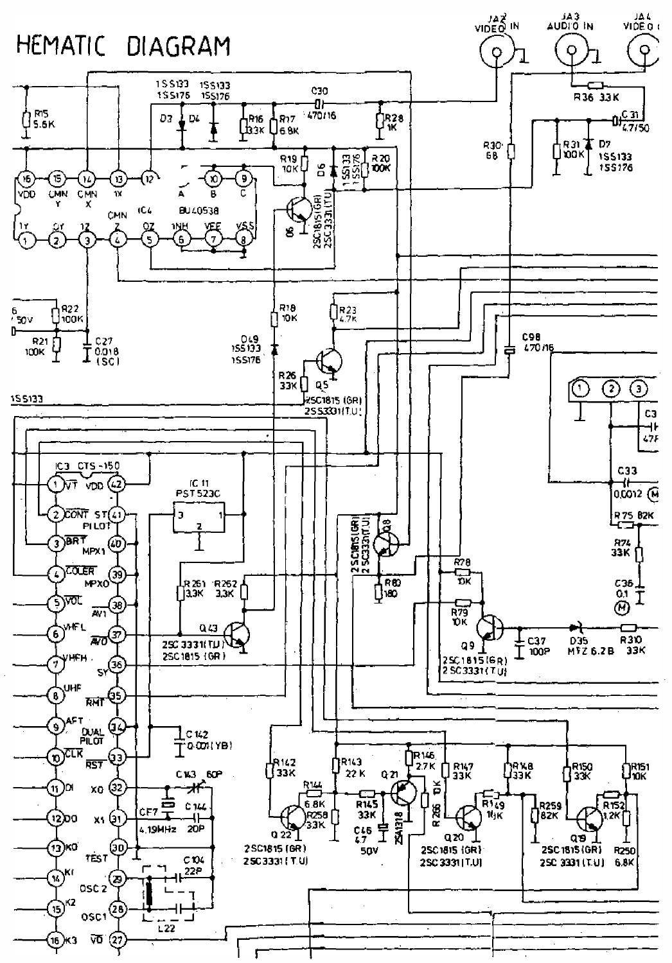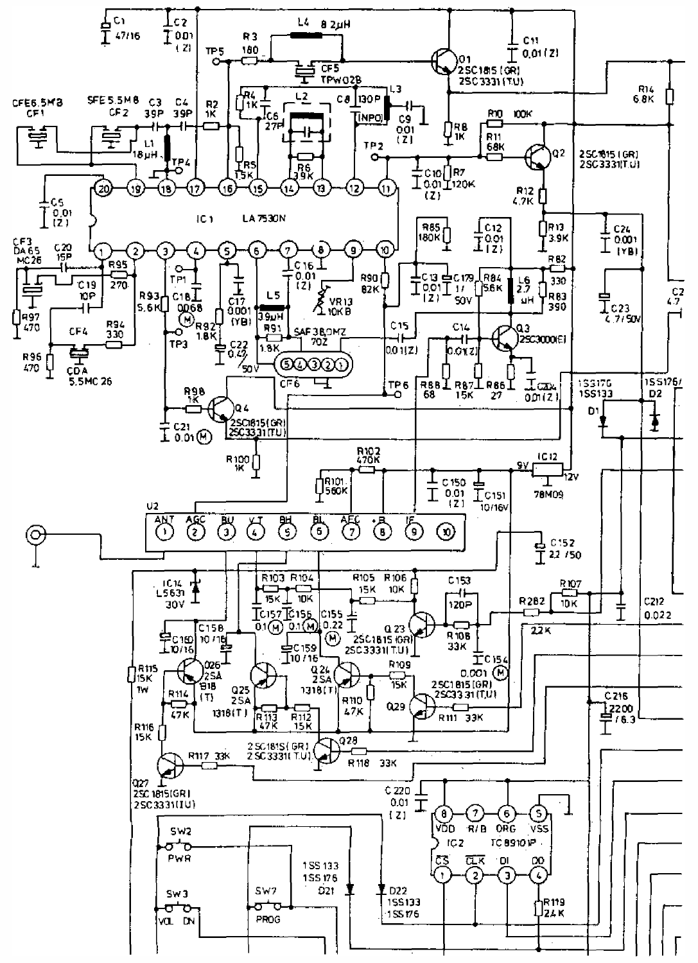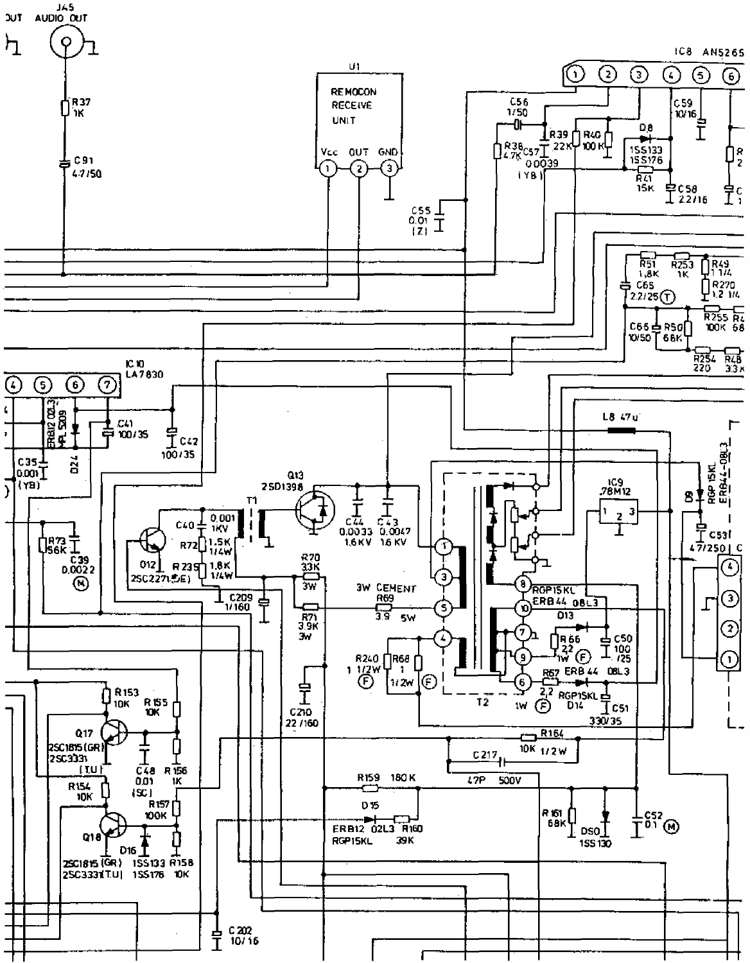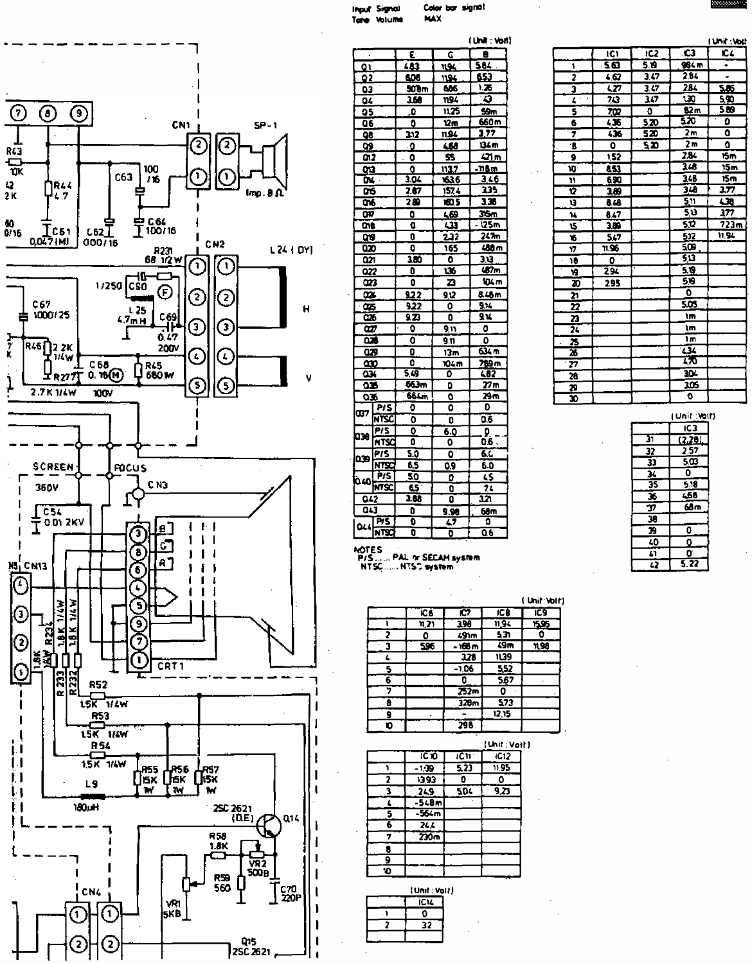Input Signal Tare Volume Color bor signot **MAX** 



|                     |                          |                                                 |          | (Unit : Volt)             |
|---------------------|--------------------------|-------------------------------------------------|----------|---------------------------|
|                     |                          | Ē                                               | Ġ        | Ŕ                         |
| ٥١                  |                          | 483                                             | ٦Ω٢      | 584                       |
| 92                  |                          | 606                                             | 1194     | 653                       |
| oз                  |                          | 50'Dm                                           | 666      | ۱.76                      |
| 04                  |                          | 360                                             | ng.      | -73                       |
| 05                  |                          | ۵                                               | 11.75    | 59m                       |
| 06                  |                          | o                                               | 12m      | 660 <sub>m</sub>          |
| œ                   |                          | 312                                             | 11.94    | 3.77                      |
| 09                  |                          | ۰٥                                              | 468      | 136m                      |
| 012                 |                          | ٥                                               | 55       | 421 m                     |
| 83                  |                          | O                                               | 113.7    | .na m                     |
| īж.                 |                          | 3.04                                            | 1636     | 3.46                      |
| 06                  |                          | 2.67                                            | 1574     | 335                       |
| ರಾ                  |                          | 28                                              | im 5     | 335                       |
| œ                   |                          | o                                               | 669      | 36m                       |
| m                   |                          | a                                               | 433      | 125m                      |
| œ                   |                          | 0                                               | 232      | 247m                      |
| 020                 |                          | O                                               | ۱65      | 480 m                     |
| m                   |                          | 380                                             | Ó        | 313                       |
| 022                 |                          | Õ                                               | ئ136     | மா                        |
| œ                   |                          | Ô                                               | 23       | 104 m                     |
| യം                  |                          | 922                                             | 9,12     | 8.48m                     |
| ŌБ                  |                          | 9.22                                            | ٥        | 9۲.                       |
| Ō6                  |                          | 9.23                                            | 0        | 914                       |
| œ                   |                          | ï<br>٥                                          | 9.17     | ٥                         |
| ھە                  |                          | Ô                                               | 9.11     | ٥                         |
| 079                 |                          | 0                                               | 13m      | 634 m                     |
| യ                   |                          | ٥                                               | 104 m    | 769 m                     |
| ۵Ж                  |                          | 579                                             | ٥        | 482                       |
| 035                 |                          | <b>663m</b>                                     | D        | 27 m                      |
| 036                 |                          | 664m                                            | ٥        | 29m                       |
|                     | <b>Prs</b>               | o                                               | ٥        | D                         |
| መን                  | <b>NTSC</b>              | Ō                                               | 0        | 06                        |
|                     | P/S                      | Ō                                               |          | ٥                         |
| 938                 | <b>NTSC</b>              | ٥                                               | 6.0<br>٥ | 06.                       |
|                     |                          |                                                 |          |                           |
| ۵Đ                  | <u>P/S</u><br><b>NTS</b> | 5.0<br>65                                       | ٥        | 66                        |
|                     | P <sub>I</sub> S         | 50                                              | 0.9      | 6.0                       |
| مەظ                 | MSC                      | 65                                              | ٥        | $\overline{\mathfrak{c}}$ |
|                     |                          | 2.66                                            | 0        | 24<br>12.                 |
| 042<br>043          |                          |                                                 | ۵        |                           |
|                     |                          | Ü                                               | 9.98     | 68m                       |
|                     | M <sub>S</sub>           | Û                                               | 47       | Ō                         |
|                     |                          |                                                 |          |                           |
| منه<br><b>AOTES</b> | <b>NTSC</b>              | ā<br>P/S PAL or SECAH system<br>NTSCNTSC system | O        | 06                        |

|    |       |                   |                 | <b>I UNIT : Vott</b>      |
|----|-------|-------------------|-----------------|---------------------------|
|    | iCi   | 1C2               | ം               | ۱C 4                      |
| 1  | -5.63 | 5.19              | 984 m           |                           |
| 2  | 452   | $\overline{3.47}$ | 284             |                           |
| ĵ  | ιñ    | $\overline{3.07}$ | 284             | 576                       |
| ۷  | 713   | 347               | w               | 550                       |
| 5  |       | Ō                 | 2m              | 5.89                      |
| 6  | 436   | 5.20              | 520             | Ō                         |
| 7  | 436   | 520               | 2m              | O                         |
| ۰B | ō     | 5D                | 2m              | Ō                         |
| 9  | 152   |                   | 284             | 15m                       |
| ۱O | 451   |                   | 348             | 15m                       |
| ٦Y | 690   |                   | 348             | 15m                       |
| छ  | 3.89  |                   | 34              | $\overline{\mathbf{377}}$ |
| ម  | 8.48  |                   | 511             | g                         |
| ١٤ | 8.47  |                   | 5มิ             | 177                       |
| 15 | 3.80  |                   | 512             | 723m                      |
| 16 | 547   |                   | 512             | 11.94                     |
| Y7 | n.S   |                   | 500             |                           |
| 10 | 0     |                   | 513             |                           |
| 19 | 294   |                   | 58              |                           |
| 20 | 2.95  |                   | 5.19            |                           |
| 21 |       |                   | Ő               |                           |
| 22 |       |                   | 503             |                           |
| 23 |       |                   | ١m              |                           |
| 24 |       |                   | ìm              |                           |
| 75 |       |                   | ١m              |                           |
| 26 |       |                   | 434             |                           |
| 27 |       |                   | কে              |                           |
| 28 |       |                   | $\overline{30}$ |                           |
| 29 |       |                   | 305             |                           |
| Ő  |       |                   | O               |                           |
|    |       |                   |                 |                           |

| (Unit :Volt |                                                                             |
|-------------|-----------------------------------------------------------------------------|
| IC3         |                                                                             |
|             |                                                                             |
|             |                                                                             |
|             |                                                                             |
|             |                                                                             |
|             |                                                                             |
|             |                                                                             |
|             |                                                                             |
|             |                                                                             |
| O           |                                                                             |
| Ō           |                                                                             |
|             |                                                                             |
|             |                                                                             |
|             | $\frac{(2.20)}{2.57}$<br>5.03<br>ō<br>5.18<br><u>458</u><br>ள்<br>o<br>5.22 |

|   |              |         |            | ( Unit 'Volt) |
|---|--------------|---------|------------|---------------|
|   | IC 6         | ī٣      | <b>ICB</b> | 口             |
|   | <b>11,21</b> | 390     | 11.94      | 55            |
| 7 | ٥            | ረያነጠ    | 531        | 0             |
|   | 596          | - 168 m | 49m        | 1198          |
|   |              | 328     | 1139       |               |
| 5 |              | $-1.06$ | 552        |               |
| 6 |              |         | 5.67       |               |
| 7 |              | 252m    |            |               |
| 8 |              | 320m    | 573        |               |
| 9 |              |         | 12,15      |               |
| ۰ |              | 296     |            |               |

|  |  | (Unit : Valt) |  |  |
|--|--|---------------|--|--|
|  |  |               |  |  |

|    | īσ                | iC11 | $\overline{1}$ C <sub>12</sub> |
|----|-------------------|------|--------------------------------|
|    | $-1.39$           | 523  | 11.95                          |
| 2  | 1393              |      | ٥                              |
|    | 249               | 504  | 9.23                           |
|    | -540m             |      |                                |
| 5  | 564m              |      |                                |
| Ŝ  | 766               |      |                                |
| ٠  | $\overline{230m}$ |      |                                |
|    |                   |      |                                |
|    |                   |      |                                |
| ۱Ο |                   |      |                                |

| (Unit:Volt) |  |  |  |  |
|-------------|--|--|--|--|
| ICIL        |  |  |  |  |
| n           |  |  |  |  |
|             |  |  |  |  |
|             |  |  |  |  |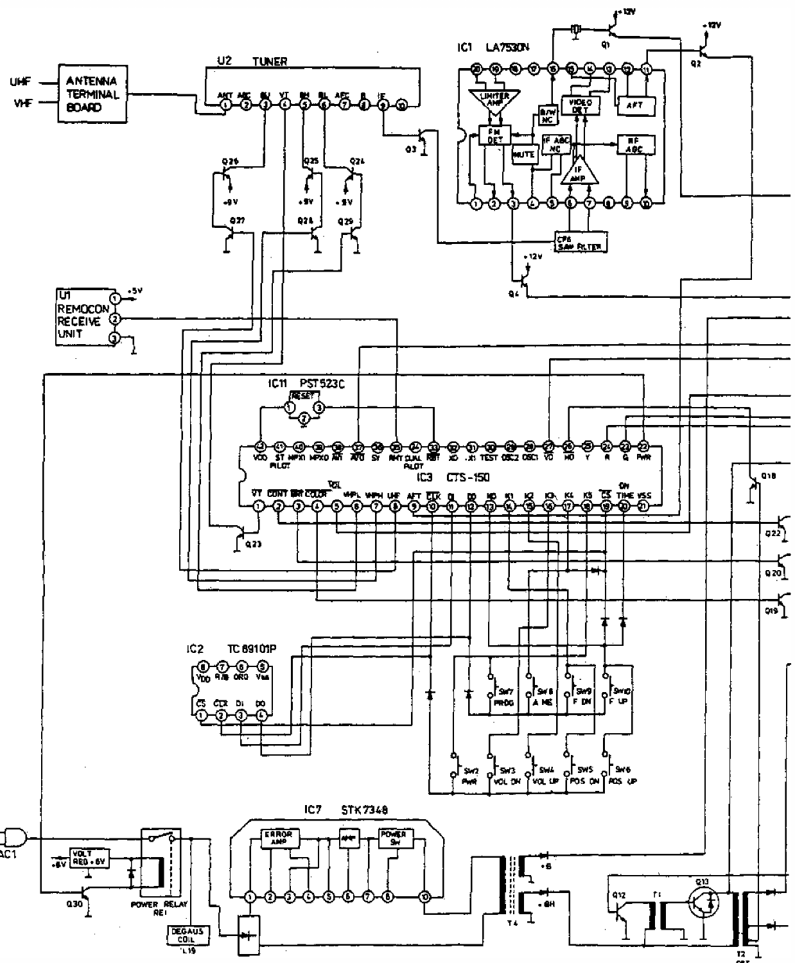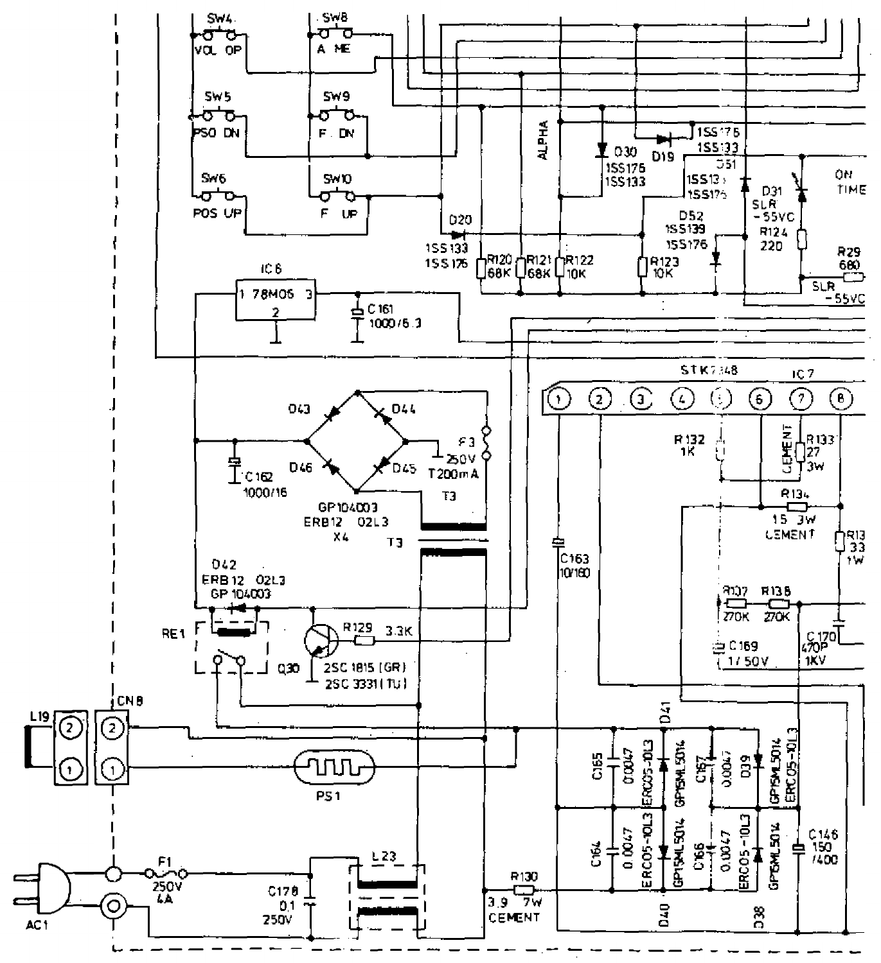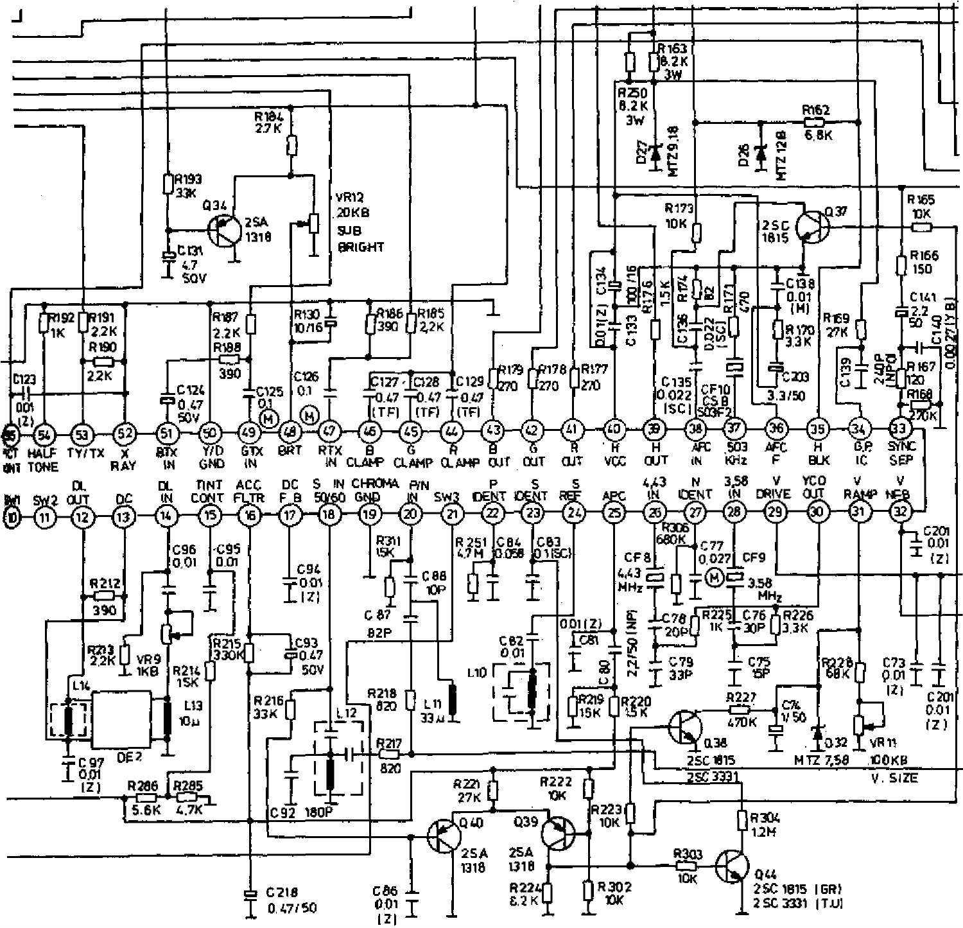